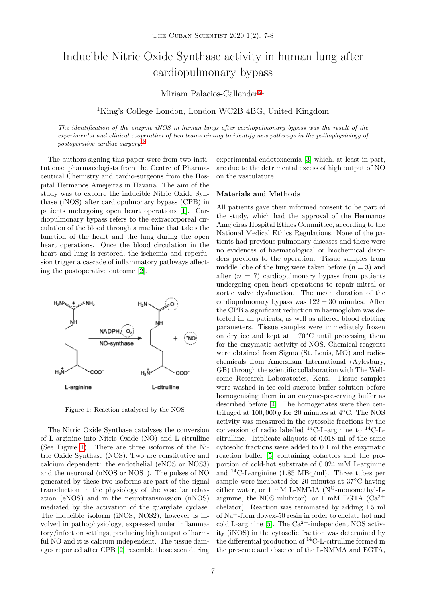# Inducible Nitric Oxide Synthase activity in human lung after cardiopulmonary bypass

Miriam Palacios-Callender<sup>[a1](#page-1-0)</sup>

<sup>1</sup>King's College London, London WC2B 4BG, United Kingdom

The identification of the enzyme iNOS in human lungs after cardiopulmonary bypass was the result of the experimental and clinical cooperation of two teams aiming to identify new pathways in the pathophysiology of postoperative cardiac surgery.<sup>[b](#page-1-1)</sup>

The authors signing this paper were from two institutions: pharmacologists from the Centre of Pharmaceutical Chemistry and cardio-surgeons from the Hospital Hermanos Amejeiras in Havana. The aim of the study was to explore the inducible Nitric Oxide Synthase (iNOS) after cardiopulmonary bypass (CPB) in patients undergoing open heart operations [\[1\]](#page-1-2). Cardiopulmonary bypass refers to the extracorporeal circulation of the blood through a machine that takes the function of the heart and the lung during the open heart operations. Once the blood circulation in the heart and lung is restored, the ischemia and reperfusion trigger a cascade of inflammatory pathways affecting the postoperative outcome [\[2\]](#page-1-3).

<span id="page-0-0"></span>

Figure 1: Reaction catalysed by the NOS

The Nitric Oxide Synthase catalyses the conversion of L-arginine into Nitric Oxide (NO) and L-citrulline (See Figure [1\)](#page-0-0). There are three isoforms of the Nitric Oxide Synthase (NOS). Two are constitutive and calcium dependent: the endothelial (eNOS or NOS3) and the neuronal (nNOS or NOS1). The pulses of NO generated by these two isoforms are part of the signal transduction in the physiology of the vascular relaxation (eNOS) and in the neurotransmission (nNOS) mediated by the activation of the guanylate cyclase. The inducible isoform (iNOS, NOS2), however is involved in pathophysiology, expressed under inflammatory/infection settings, producing high output of harmful NO and it is calcium independent. The tissue damages reported after CPB [\[2\]](#page-1-3) resemble those seen during experimental endotoxaemia [\[3\]](#page-1-4) which, at least in part, are due to the detrimental excess of high output of NO on the vasculature.

#### Materials and Methods

All patients gave their informed consent to be part of the study, which had the approval of the Hermanos Amejeiras Hospital Ethics Committee, according to the National Medical Ethics Regulations. None of the patients had previous pulmonary diseases and there were no evidences of haematological or biochemical disorders previous to the operation. Tissue samples from middle lobe of the lung were taken before  $(n = 3)$  and after  $(n = 7)$  cardiopulmonary bypass from patients undergoing open heart operations to repair mitral or aortic valve dysfunction. The mean duration of the cardiopulmonary bypass was  $122 \pm 30$  minutes. After the CPB a significant reduction in haemoglobin was detected in all patients, as well as altered blood clotting parameters. Tissue samples were immediately frozen on dry ice and kept at −70◦C until processing them for the enzymatic activity of NOS. Chemical reagents were obtained from Sigma (St. Louis, MO) and radiochemicals from Amersham International (Aylesbury, GB) through the scientific collaboration with The Wellcome Research Laboratories, Kent. Tissue samples were washed in ice-cold sucrose buffer solution before homogenising them in an enzyme-preserving buffer as described before [\[4\]](#page-1-5). The homogenates were then centrifuged at 100, 000 q for 20 minutes at  $4°C$ . The NOS activity was measured in the cytosolic fractions by the conversion of radio labelled  $^{14}$ C-L-arginine to  $^{14}$ C-Lcitrulline. Triplicate aliquots of 0.018 ml of the same cytosolic fractions were added to 0.1 ml the enzymatic reaction buffer [\[5\]](#page-1-6) containing cofactors and the proportion of cold-hot substrate of 0.024 mM L-arginine and <sup>14</sup>C-L-arginine (1.85 MBq/ml). Three tubes per sample were incubated for 20 minutes at 37◦C having either water, or 1 mM L-NMMA (N<sup>G</sup>-monomethyl-Larginine, the NOS inhibitor), or 1 mM EGTA  $(Ca^{2+})$ chelator). Reaction was terminated by adding 1.5 ml of Na<sup>+</sup>-form dowex-50 resin in order to chelate hot and cold L-arginine [\[5\]](#page-1-6). The  $Ca^{2+}$ -independent NOS activity (iNOS) in the cytosolic fraction was determined by the differential production of <sup>14</sup>C-L-citrulline formed in the presence and absence of the L-NMMA and EGTA,